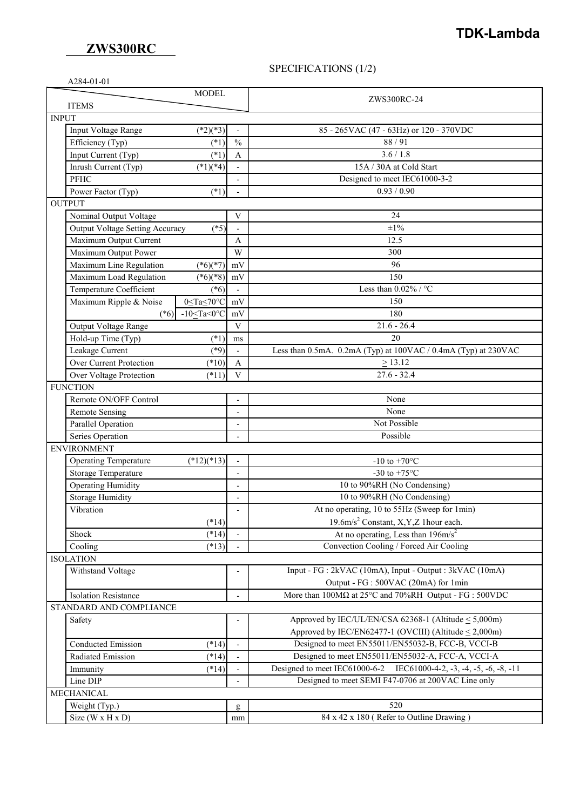## **ZWS300RC**

# **TDK-Lambda**

### SPECIFICATIONS (1/2)

| A284-01-01                                             |                          |                                                                     |  |
|--------------------------------------------------------|--------------------------|---------------------------------------------------------------------|--|
| <b>MODEL</b>                                           |                          |                                                                     |  |
| <b>ITEMS</b>                                           |                          | ZWS300RC-24                                                         |  |
| <b>INPUT</b>                                           |                          |                                                                     |  |
| Input Voltage Range<br>$(*2)(*3)$                      |                          | 85 - 265VAC (47 - 63Hz) or 120 - 370VDC                             |  |
| Efficiency (Typ)<br>$(*1)$                             | $\frac{0}{0}$            | 88/91                                                               |  |
| Input Current (Typ)<br>$(*1)$                          | $\mathbf{A}$             | 3.6 / 1.8                                                           |  |
| Inrush Current (Typ)<br>$(*1)(*4)$                     |                          | 15A / 30A at Cold Start                                             |  |
| <b>PFHC</b>                                            |                          | Designed to meet IEC61000-3-2                                       |  |
| Power Factor (Typ)<br>$(*1)$                           |                          | 0.93 / 0.90                                                         |  |
| <b>OUTPUT</b>                                          |                          |                                                                     |  |
| Nominal Output Voltage                                 | V                        | 24                                                                  |  |
| Output Voltage Setting Accuracy<br>$(*5)$              |                          | $\pm 1\%$                                                           |  |
| Maximum Output Current                                 | A                        | 12.5                                                                |  |
| Maximum Output Power                                   | W                        | 300                                                                 |  |
| Maximum Line Regulation<br>$(*6)(*7)$                  | mV                       | 96                                                                  |  |
| Maximum Load Regulation<br>$(*6)(*8)$                  | mV                       | 150                                                                 |  |
| Temperature Coefficient<br>$(*6)$                      |                          | Less than $0.02\%$ / °C                                             |  |
| Maximum Ripple & Noise<br>$0 \leq Ta \leq 70^{\circ}C$ | mV                       | 150                                                                 |  |
| (*6) $-10 \leq Ta < 0$ °C                              | mV                       | 180                                                                 |  |
|                                                        | V                        | $21.6 - 26.4$                                                       |  |
| Output Voltage Range                                   |                          | 20                                                                  |  |
| Hold-up Time (Typ)<br>$(*1)$                           | ms                       | Less than 0.5mA. 0.2mA (Typ) at 100VAC / 0.4mA (Typ) at 230VAC      |  |
| $(*9)$<br>Leakage Current<br>Over Current Protection   |                          | $\geq 13.12$                                                        |  |
| $(*10)$                                                | $\mathbf{A}$             |                                                                     |  |
| Over Voltage Protection<br>$(*11)$                     | $\mathbf{V}$             | $27.6 - 32.4$                                                       |  |
| <b>FUNCTION</b>                                        |                          |                                                                     |  |
| Remote ON/OFF Control                                  | $\overline{\phantom{a}}$ | None                                                                |  |
| <b>Remote Sensing</b>                                  | $\overline{a}$           | None                                                                |  |
| Parallel Operation                                     | $\overline{\phantom{0}}$ | Not Possible                                                        |  |
| Series Operation                                       |                          | Possible                                                            |  |
| <b>ENVIRONMENT</b>                                     |                          |                                                                     |  |
| <b>Operating Temperature</b><br>$(*12)(*13)$           | $\overline{\phantom{a}}$ | -10 to +70 $^{\circ}$ C                                             |  |
| Storage Temperature                                    | $\overline{a}$           | -30 to +75 $^{\circ}$ C                                             |  |
| <b>Operating Humidity</b>                              |                          | 10 to 90%RH (No Condensing)                                         |  |
| <b>Storage Humidity</b>                                |                          | 10 to 90%RH (No Condensing)                                         |  |
| Vibration                                              |                          | At no operating, 10 to 55Hz (Sweep for 1min)                        |  |
| $(*14)$                                                |                          | 19.6m/s <sup>2</sup> Constant, X, Y, Z 1 hour each.                 |  |
| $(*14)$<br>Shock                                       |                          | At no operating, Less than $196 \text{m/s}^2$                       |  |
| $(*13)$<br>Cooling                                     |                          | Convection Cooling / Forced Air Cooling                             |  |
| <b>ISOLATION</b>                                       |                          |                                                                     |  |
| Withstand Voltage                                      |                          | Input - FG : 2kVAC (10mA), Input - Output : 3kVAC (10mA)            |  |
|                                                        |                          | Output - FG : 500VAC (20mA) for 1min                                |  |
| <b>Isolation Resistance</b>                            |                          | More than 100MΩ at 25°C and 70%RH Output - FG : 500VDC              |  |
| STANDARD AND COMPLIANCE                                |                          |                                                                     |  |
| Safety                                                 |                          | Approved by IEC/UL/EN/CSA $62368-1$ (Altitude < 5,000m)             |  |
|                                                        |                          | Approved by IEC/EN62477-1 (OVCIII) (Altitude $\leq$ 2,000m)         |  |
| Conducted Emission<br>$(*14)$                          |                          | Designed to meet EN55011/EN55032-B, FCC-B, VCCI-B                   |  |
| Radiated Emission<br>$(*14)$                           |                          | Designed to meet EN55011/EN55032-A, FCC-A, VCCI-A                   |  |
| $(*14)$<br>Immunity                                    |                          | Designed to meet IEC61000-6-2 IEC61000-4-2, -3, -4, -5, -6, -8, -11 |  |
| Line DIP                                               |                          | Designed to meet SEMI F47-0706 at 200VAC Line only                  |  |
| MECHANICAL                                             |                          |                                                                     |  |
| Weight (Typ.)                                          | g                        | 520                                                                 |  |
| Size (W x H x D)                                       | mm                       | 84 x 42 x 180 (Refer to Outline Drawing)                            |  |
|                                                        |                          |                                                                     |  |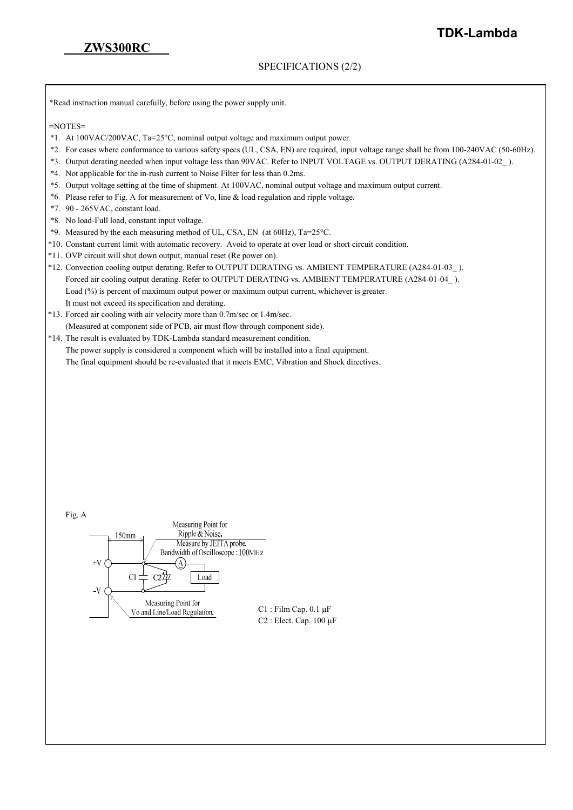#### SPECIFICATIONS (2/2)

\*Read instruction manual carefully, before using the power supply unit.

 $=$ NOTES $=$ 

- \*1. At 100VAC/200VAC, Ta=25°C, nominal output voltage and maximum output power.
- \*2. For cases where conformance to various safety specs (UL, CSA, EN) are required, input voltage range shall be from 100-240VAC (50-60Hz).
- \*3. Output derating needed when input voltage less than 90VAC. Refer to INPUT VOLTAGE vs. OUTPUT DERATING (A284-01-02\_ ).
- \*4. Not applicable for the in-rush current to Noise Filter for less than 0.2ms.
- \*5. Output voltage setting at the time of shipment. At 100VAC, nominal output voltage and maximum output current.
- \*6. Please refer to Fig. A for measurement of Vo, line & load regulation and ripple voltage.
- \*7. 90 265VAC, constant load.
- \*8. No load-Full load, constant input voltage.
- \*9. Measured by the each measuring method of UL, CSA, EN (at 60Hz), Ta=25°C.
- \*10. Constant current limit with automatic recovery. Avoid to operate at over load or short circuit condition.
- \*11. OVP circuit will shut down output, manual reset (Re power on).
- \*12. Convection cooling output derating. Refer to OUTPUT DERATING vs. AMBIENT TEMPERATURE (A284-01-03\_ ). Forced air cooling output derating. Refer to OUTPUT DERATING vs. AMBIENT TEMPERATURE (A284-01-04\_ ). Load (%) is percent of maximum output power or maximum output current, whichever is greater. It must not exceed its specification and derating.
- \*13. Forced air cooling with air velocity more than 0.7m/sec or 1.4m/sec. (Measured at component side of PCB, air must flow through component side).
- \*14. The result is evaluated by TDK-Lambda standard measurement condition. The power supply is considered a component which will be installed into a final equipment. The final equipment should be re-evaluated that it meets EMC, Vibration and Shock directives.

| Fig. A                                              |                                   |
|-----------------------------------------------------|-----------------------------------|
|                                                     | Measuring Point for               |
| 150mm                                               | Ripple & Noise.                   |
|                                                     | Measure by JEITA probe.           |
|                                                     | Bandwidth of Oscilloscope: 100MHz |
| $+V$<br>C1                                          | Load                              |
| $-V$                                                |                                   |
| Measuring Point for<br>Vo and Line/Load Regulation. |                                   |
|                                                     |                                   |

Film Cap.  $0.1 \mu F$ Elect. Cap. 100 μF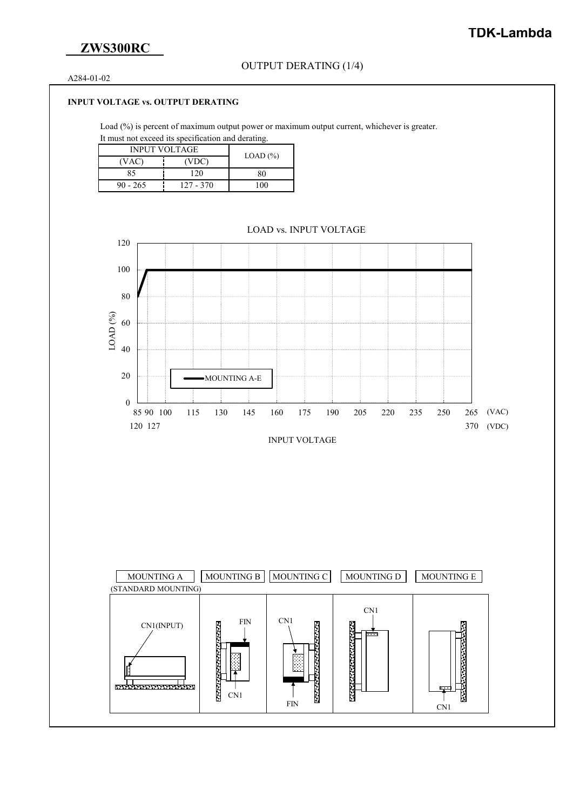## **ZWS300RC**

A284-01-02

#### **INPUT VOLTAGE vs. OUTPUT DERATING**

Load (%) is percent of maximum output power or maximum output current, whichever is greater. It must not exceed its specification and derating.

| <b>INPUT VOLTAGE</b> | $LOAD$ $(\%)$ |    |
|----------------------|---------------|----|
| (VAC)                | (VDC)         |    |
| 85                   | 120           | 80 |
| $90 - 265$           | 127 - 370     |    |



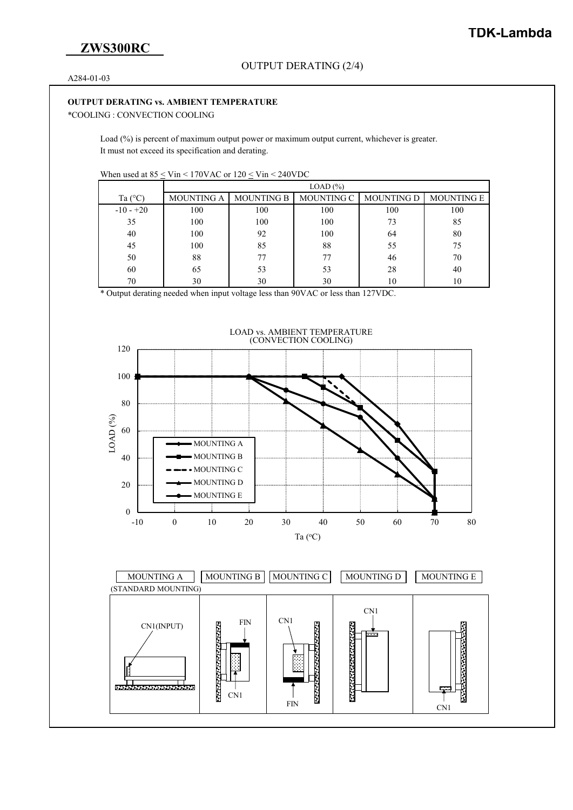A284-01-03

#### **OUTPUT DERATING vs. AMBIENT TEMPERATURE**

\*COOLING : CONVECTION COOLING

Load (%) is percent of maximum output power or maximum output current, whichever is greater. It must not exceed its specification and derating.

|                  | LOAD (%)          |                   |                   |                   |                   |  |  |
|------------------|-------------------|-------------------|-------------------|-------------------|-------------------|--|--|
| Ta $(^{\circ}C)$ | <b>MOUNTING A</b> | <b>MOUNTING B</b> | <b>MOUNTING C</b> | <b>MOUNTING D</b> | <b>MOUNTING E</b> |  |  |
| $-10 - +20$      | 100               | 100               | 100               | 100               | 100               |  |  |
| 35               | 100               | 100               | 100               | 73                | 85                |  |  |
| 40               | 100               | 92                | 100               | 64                | 80                |  |  |
| 45               | 100               | 85                | 88                | 55                | 75                |  |  |
| 50               | 88                | 77                | 77                | 46                | 70                |  |  |
| 60               | 65                | 53                | 53                | 28                | 40                |  |  |
| 70               | 30                | 30                | 30                | 10                | 10                |  |  |

\* Output derating needed when input voltage less than 90VAC or less than 127VDC.



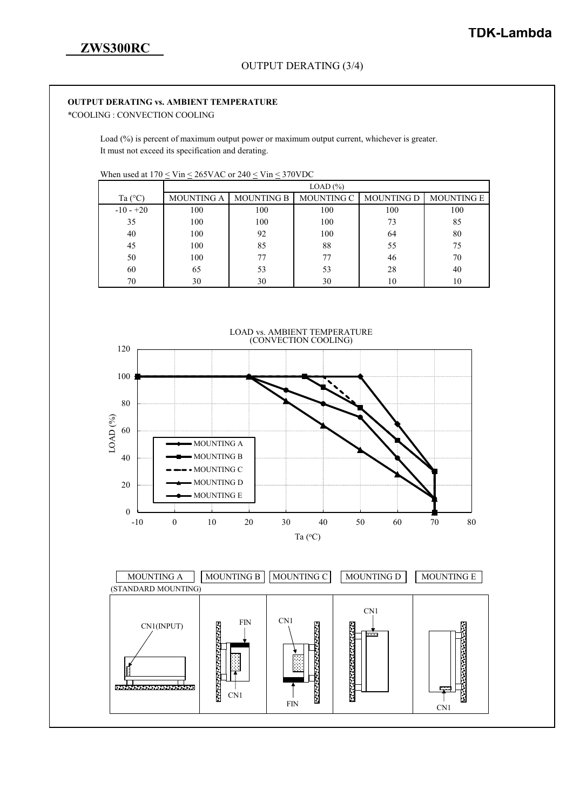#### **OUTPUT DERATING vs. AMBIENT TEMPERATURE**

\*COOLING : CONVECTION COOLING

Load (%) is percent of maximum output power or maximum output current, whichever is greater. It must not exceed its specification and derating.

When used at  $170 \leq \text{Vir} \leq 265 \text{VAC}$  or  $240 \leq \text{Vir} \leq 370 \text{VDC}$ 

|                  | LOAD (%)          |                   |            |                   |                   |  |  |
|------------------|-------------------|-------------------|------------|-------------------|-------------------|--|--|
| Ta $(^{\circ}C)$ | <b>MOUNTING A</b> | <b>MOUNTING B</b> | MOUNTING C | <b>MOUNTING D</b> | <b>MOUNTING E</b> |  |  |
| $-10 - +20$      | 100               | 100               | 100        | 100               | 100               |  |  |
| 35               | 100               | 100               | 100        | 73                | 85                |  |  |
| 40               | 100               | 92                | 100        | 64                | 80                |  |  |
| 45               | 100               | 85                | 88         | 55                | 75                |  |  |
| 50               | 100               | 77                | 77         | 46                | 70                |  |  |
| 60               | 65                | 53                | 53         | 28                | 40                |  |  |
| 70               | 30                | 30                | 30         | 10                | 10                |  |  |